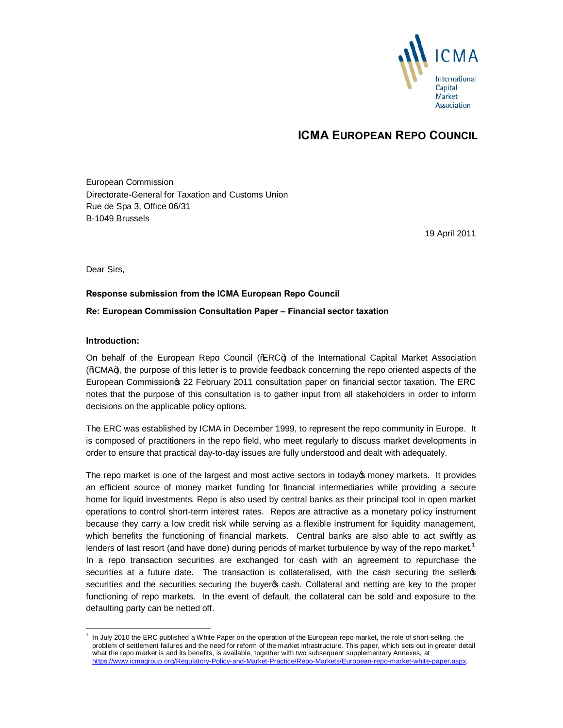

# **ICMA EUROPEAN REPO COUNCIL**

European Commission Directorate-General for Taxation and Customs Union Rue de Spa 3, Office 06/31 B-1049 Brussels

19 April 2011

Dear Sirs,

# **Response submission from the ICMA European Repo Council**

### **Re: European Commission Consultation Paper – Financial sector taxation**

**Introduction:**

-

On behalf of the European Repo Council (%ERC+) of the International Capital Market Association (%CMA+), the purpose of this letter is to provide feedback concerning the repo oriented aspects of the European Commission \$22 February 2011 consultation paper on financial sector taxation. The ERC notes that the purpose of this consultation is to gather input from all stakeholders in order to inform decisions on the applicable policy options.

The ERC was established by ICMA in December 1999, to represent the repo community in Europe. It is composed of practitioners in the repo field, who meet regularly to discuss market developments in order to ensure that practical day-to-day issues are fully understood and dealt with adequately.

The repo market is one of the largest and most active sectors in today op money markets. It provides an efficient source of money market funding for financial intermediaries while providing a secure home for liquid investments. Repo is also used by central banks as their principal tool in open market operations to control short-term interest rates. Repos are attractive as a monetary policy instrument because they carry a low credit risk while serving as a flexible instrument for liquidity management, which benefits the functioning of financial markets. Central banks are also able to act swiftly as lenders of last resort (and have done) during periods of market turbulence by way of the repo market.<sup>1</sup> In a repo transaction securities are exchanged for cash with an agreement to repurchase the securities at a future date. The transaction is collateralised, with the cash securing the sellerop securities and the securities securing the buyer op cash. Collateral and netting are key to the proper functioning of repo markets. In the event of default, the collateral can be sold and exposure to the defaulting party can be netted off.

 $1$  In July 2010 the ERC published a White Paper on the operation of the European repo market, the role of short-selling, the problem of settlement failures and the need for reform of the market infrastructure. This paper, which sets out in greater detail what the repo market is and its benefits, is available, together with two subsequent supplementary Annexes, at https://www.icmagroup.org/Regulatory-Policy-and-Market-Practice/Repo-Markets/European-repo-market-white-paper.aspx.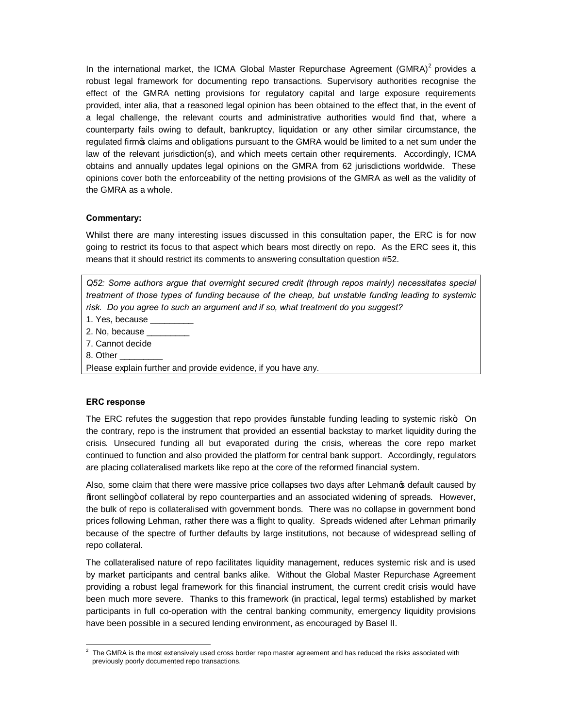In the international market, the ICMA Global Master Repurchase Agreement  $(GMRA)^2$  provides a robust legal framework for documenting repo transactions. Supervisory authorities recognise the effect of the GMRA netting provisions for regulatory capital and large exposure requirements provided, inter alia, that a reasoned legal opinion has been obtained to the effect that, in the event of a legal challenge, the relevant courts and administrative authorities would find that, where a counterparty fails owing to default, bankruptcy, liquidation or any other similar circumstance, the regulated firmos claims and obligations pursuant to the GMRA would be limited to a net sum under the law of the relevant jurisdiction(s), and which meets certain other requirements. Accordingly, ICMA obtains and annually updates legal opinions on the GMRA from 62 jurisdictions worldwide. These opinions cover both the enforceability of the netting provisions of the GMRA as well as the validity of the GMRA as a whole.

### **Commentary:**

Whilst there are many interesting issues discussed in this consultation paper, the ERC is for now going to restrict its focus to that aspect which bears most directly on repo. As the ERC sees it, this means that it should restrict its comments to answering consultation question #52.

*Q52: Some authors argue that overnight secured credit (through repos mainly) necessitates special treatment of those types of funding because of the cheap, but unstable funding leading to systemic risk. Do you agree to such an argument and if so, what treatment do you suggest?*

- 1. Yes, because
- 2. No, because \_\_\_\_\_\_\_\_\_
- 7. Cannot decide
- 8. Other

Please explain further and provide evidence, if you have any.

# **ERC response**

The ERC refutes the suggestion that repo provides % unstable funding leading to systemic risk $+$  On the contrary, repo is the instrument that provided an essential backstay to market liquidity during the crisis. Unsecured funding all but evaporated during the crisis, whereas the core repo market continued to function and also provided the platform for central bank support. Accordingly, regulators are placing collateralised markets like repo at the core of the reformed financial system.

Also, some claim that there were massive price collapses two days after Lehmanos default caused by "front selling" of collateral by repo counterparties and an associated widening of spreads. However, the bulk of repo is collateralised with government bonds. There was no collapse in government bond prices following Lehman, rather there was a flight to quality. Spreads widened after Lehman primarily because of the spectre of further defaults by large institutions, not because of widespread selling of repo collateral.

The collateralised nature of repo facilitates liquidity management, reduces systemic risk and is used by market participants and central banks alike. Without the Global Master Repurchase Agreement providing a robust legal framework for this financial instrument, the current credit crisis would have been much more severe. Thanks to this framework (in practical, legal terms) established by market participants in full co-operation with the central banking community, emergency liquidity provisions have been possible in a secured lending environment, as encouraged by Basel II.

 2 The GMRA is the most extensively used cross border repo master agreement and has reduced the risks associated with previously poorly documented repo transactions.